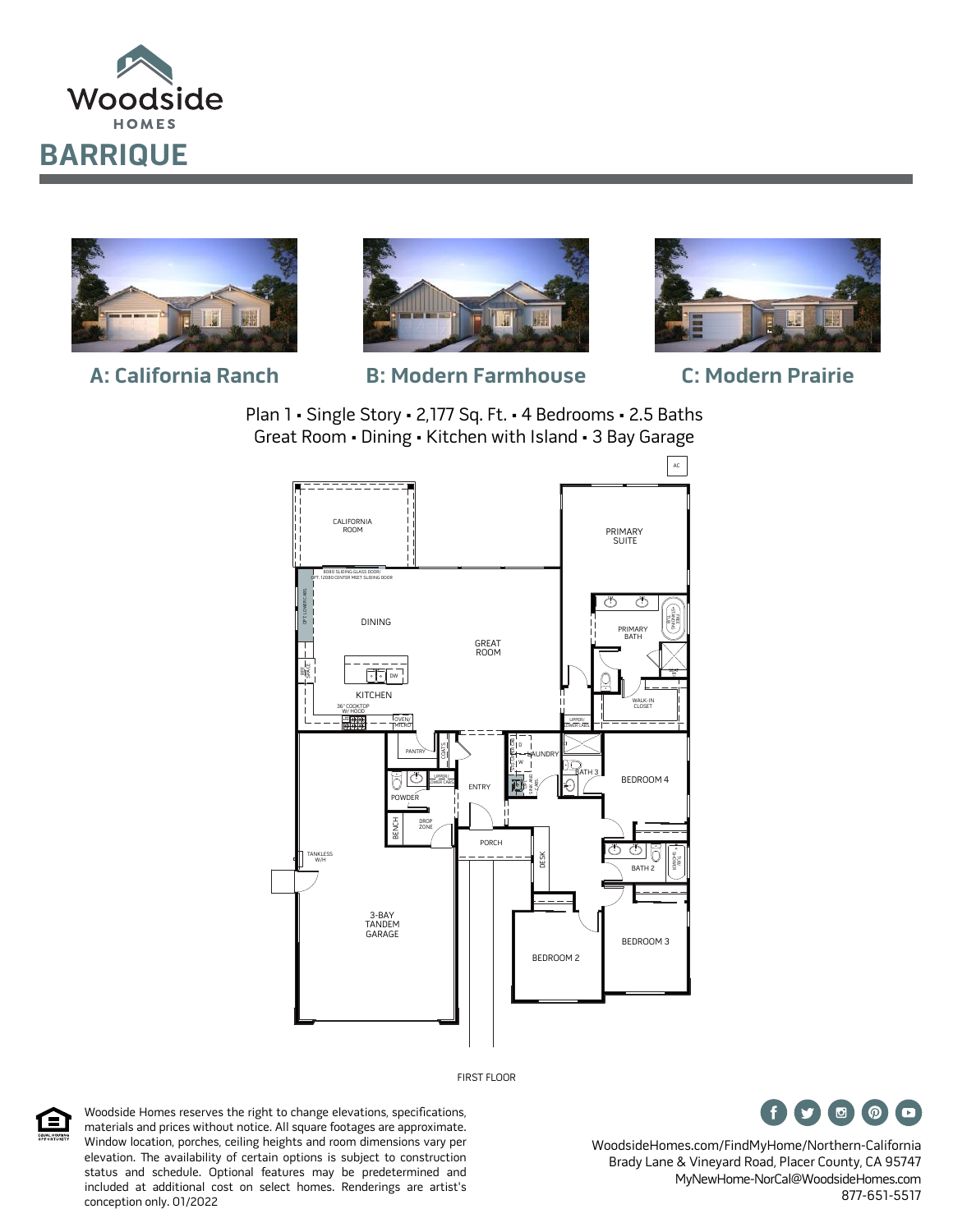





**A: California Ranch B: Modern Farmhouse C: Modern Prairie**



Plan 1 • Single Story • 2,177 Sq. Ft. • 4 Bedrooms • 2.5 Baths Great Room • Dining • Kitchen with Island • 3 Bay Garage



FIRST FLOOR



Woodside Homes reserves the right to change elevations, specifications, materials and prices without notice. All square footages are approximate. Window location, porches, ceiling heights and room dimensions vary per elevation. The availability of certain options is subject to construction status and schedule. Optional features may be predetermined and included at additional cost on select homes. Renderings are artist's conception only. 01/2022



WoodsideHomes.com/FindMyHome/Northern-California Brady Lane & Vineyard Road, Placer County, CA 95747 MyNewHome-NorCal@WoodsideHomes.com 877-651-5517